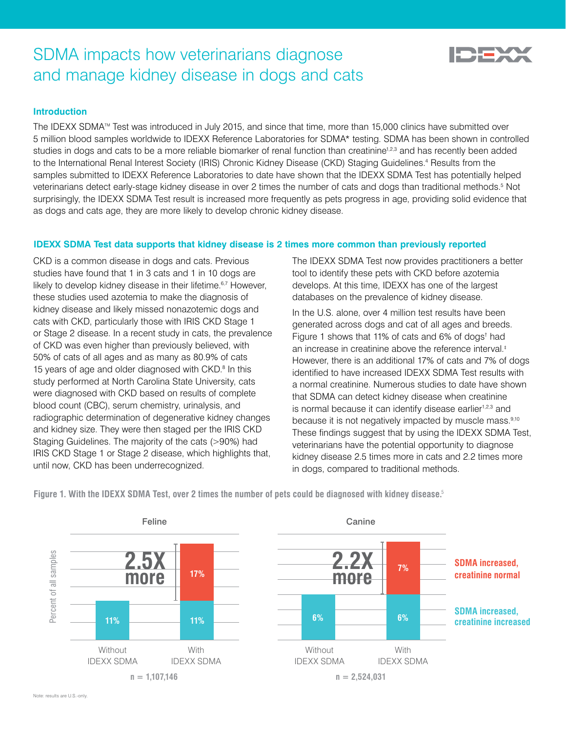# SDMA impacts how veterinarians diagnose and manage kidney disease in dogs and cats

## **Introduction**

The IDEXX SDMA™ Test was introduced in July 2015, and since that time, more than 15,000 clinics have submitted over 5 million blood samples worldwide to IDEXX Reference Laboratories for SDMA\* testing. SDMA has been shown in controlled studies in dogs and cats to be a more reliable biomarker of renal function than creatinine<sup>1,2,3</sup> and has recently been added to the International Renal Interest Society (IRIS) Chronic Kidney Disease (CKD) Staging Guidelines.4 Results from the samples submitted to IDEXX Reference Laboratories to date have shown that the IDEXX SDMA Test has potentially helped veterinarians detect early-stage kidney disease in over 2 times the number of cats and dogs than traditional methods.<sup>5</sup> Not surprisingly, the IDEXX SDMA Test result is increased more frequently as pets progress in age, providing solid evidence that as dogs and cats age, they are more likely to develop chronic kidney disease.

## **IDEXX SDMA Test data supports that kidney disease is 2 times more common than previously reported**

CKD is a common disease in dogs and cats. Previous studies have found that 1 in 3 cats and 1 in 10 dogs are likely to develop kidney disease in their lifetime.<sup>6,7</sup> However, these studies used azotemia to make the diagnosis of kidney disease and likely missed nonazotemic dogs and cats with CKD, particularly those with IRIS CKD Stage 1 or Stage 2 disease. In a recent study in cats, the prevalence of CKD was even higher than previously believed, with 50% of cats of all ages and as many as 80.9% of cats 15 years of age and older diagnosed with CKD.<sup>8</sup> In this study performed at North Carolina State University, cats were diagnosed with CKD based on results of complete blood count (CBC), serum chemistry, urinalysis, and radiographic determination of degenerative kidney changes and kidney size. They were then staged per the IRIS CKD Staging Guidelines. The majority of the cats (>90%) had IRIS CKD Stage 1 or Stage 2 disease, which highlights that, until now, CKD has been underrecognized.

The IDEXX SDMA Test now provides practitioners a better tool to identify these pets with CKD before azotemia develops. At this time, IDEXX has one of the largest databases on the prevalence of kidney disease.

In the U.S. alone, over 4 million test results have been generated across dogs and cat of all ages and breeds. Figure 1 shows that 11% of cats and 6% of dogs† had an increase in creatinine above the reference interval.‡ However, there is an additional 17% of cats and 7% of dogs identified to have increased IDEXX SDMA Test results with a normal creatinine. Numerous studies to date have shown that SDMA can detect kidney disease when creatinine is normal because it can identify disease earlier<sup>1,2,3</sup> and because it is not negatively impacted by muscle mass.<sup>9,10</sup> These findings suggest that by using the IDEXX SDMA Test, veterinarians have the potential opportunity to diagnose kidney disease 2.5 times more in cats and 2.2 times more in dogs, compared to traditional methods.

**Figure 1. With the IDEXX SDMA Test, over 2 times the number of pets could be diagnosed with kidney disease.**<sup>5</sup>



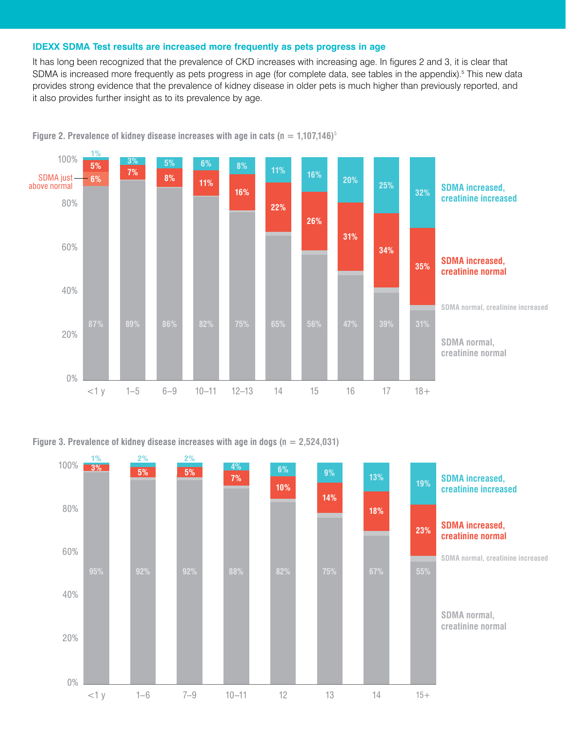#### **IDEXX SDMA Test results are increased more frequently as pets progress in age**

It has long been recognized that the prevalence of CKD increases with increasing age. In figures 2 and 3, it is clear that SDMA is increased more frequently as pets progress in age (for complete data, see tables in the appendix).<sup>5</sup> This new data provides strong evidence that the prevalence of kidney disease in older pets is much higher than previously reported, and it also provides further insight as to its prevalence by age.



**Figure 2. Prevalence of kidney disease increases with age in cats (** $n = 1,107,146$ **)**<sup>5</sup>

**Figure 3. Prevalence of kidney disease increases with age in dogs (n = 2,524,031)**

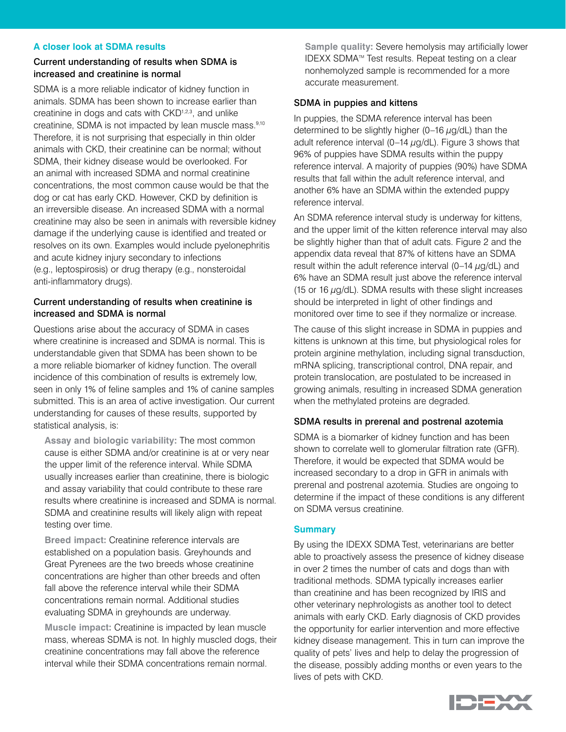#### **A closer look at SDMA results**

#### Current understanding of results when SDMA is increased and creatinine is normal

SDMA is a more reliable indicator of kidney function in animals. SDMA has been shown to increase earlier than creatinine in dogs and cats with CKD<sup>1,2,3</sup>, and unlike creatinine, SDMA is not impacted by lean muscle mass.9,10 Therefore, it is not surprising that especially in thin older animals with CKD, their creatinine can be normal; without SDMA, their kidney disease would be overlooked. For an animal with increased SDMA and normal creatinine concentrations, the most common cause would be that the dog or cat has early CKD. However, CKD by definition is an irreversible disease. An increased SDMA with a normal creatinine may also be seen in animals with reversible kidney damage if the underlying cause is identified and treated or resolves on its own. Examples would include pyelonephritis and acute kidney injury secondary to infections (e.g., leptospirosis) or drug therapy (e.g., nonsteroidal anti-inflammatory drugs).

#### Current understanding of results when creatinine is increased and SDMA is normal

Questions arise about the accuracy of SDMA in cases where creatinine is increased and SDMA is normal. This is understandable given that SDMA has been shown to be a more reliable biomarker of kidney function. The overall incidence of this combination of results is extremely low, seen in only 1% of feline samples and 1% of canine samples submitted. This is an area of active investigation. Our current understanding for causes of these results, supported by statistical analysis, is:

 **Assay and biologic variability:** The most common cause is either SDMA and/or creatinine is at or very near the upper limit of the reference interval. While SDMA usually increases earlier than creatinine, there is biologic and assay variability that could contribute to these rare results where creatinine is increased and SDMA is normal. SDMA and creatinine results will likely align with repeat testing over time.

**Breed impact:** Creatinine reference intervals are established on a population basis. Greyhounds and Great Pyrenees are the two breeds whose creatinine concentrations are higher than other breeds and often fall above the reference interval while their SDMA concentrations remain normal. Additional studies evaluating SDMA in greyhounds are underway.

 **Muscle impact:** Creatinine is impacted by lean muscle mass, whereas SDMA is not. In highly muscled dogs, their creatinine concentrations may fall above the reference interval while their SDMA concentrations remain normal.

 **Sample quality:** Severe hemolysis may artificially lower IDEXX SDMATM Test results. Repeat testing on a clear nonhemolyzed sample is recommended for a more accurate measurement.

#### SDMA in puppies and kittens

In puppies, the SDMA reference interval has been determined to be slightly higher  $(0-16 \mu g/dL)$  than the adult reference interval (0-14  $\mu$ g/dL). Figure 3 shows that 96% of puppies have SDMA results within the puppy reference interval. A majority of puppies (90%) have SDMA results that fall within the adult reference interval, and another 6% have an SDMA within the extended puppy reference interval.

An SDMA reference interval study is underway for kittens, and the upper limit of the kitten reference interval may also be slightly higher than that of adult cats. Figure 2 and the appendix data reveal that 87% of kittens have an SDMA result within the adult reference interval (0–14  $\mu$ g/dL) and 6% have an SDMA result just above the reference interval (15 or 16  $\mu$ g/dL). SDMA results with these slight increases should be interpreted in light of other findings and monitored over time to see if they normalize or increase.

The cause of this slight increase in SDMA in puppies and kittens is unknown at this time, but physiological roles for protein arginine methylation, including signal transduction, mRNA splicing, transcriptional control, DNA repair, and protein translocation, are postulated to be increased in growing animals, resulting in increased SDMA generation when the methylated proteins are degraded.

#### SDMA results in prerenal and postrenal azotemia

SDMA is a biomarker of kidney function and has been shown to correlate well to glomerular filtration rate (GFR). Therefore, it would be expected that SDMA would be increased secondary to a drop in GFR in animals with prerenal and postrenal azotemia. Studies are ongoing to determine if the impact of these conditions is any different on SDMA versus creatinine.

#### **Summary**

By using the IDEXX SDMA Test, veterinarians are better able to proactively assess the presence of kidney disease in over 2 times the number of cats and dogs than with traditional methods. SDMA typically increases earlier than creatinine and has been recognized by IRIS and other veterinary nephrologists as another tool to detect animals with early CKD. Early diagnosis of CKD provides the opportunity for earlier intervention and more effective kidney disease management. This in turn can improve the quality of pets' lives and help to delay the progression of the disease, possibly adding months or even years to the lives of pets with CKD.

![](_page_2_Picture_17.jpeg)